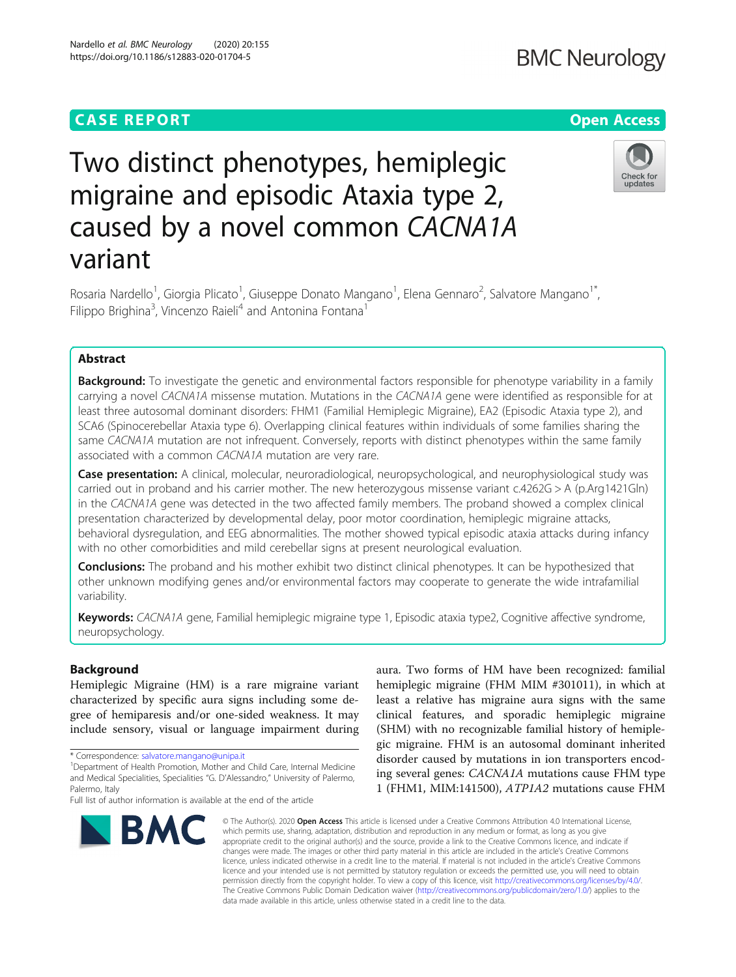## **CASE REPORT CASE ACCESS**

# **BMC Neurology**

# Check for updates

# Two distinct phenotypes, hemiplegic migraine and episodic Ataxia type 2, caused by a novel common CACNA1A variant

Rosaria Nardello<sup>1</sup>, Giorgia Plicato<sup>1</sup>, Giuseppe Donato Mangano<sup>1</sup>, Elena Gennaro<sup>2</sup>, Salvatore Mangano<sup>1\*</sup>, Filippo Brighina<sup>3</sup>, Vincenzo Raieli<sup>4</sup> and Antonina Fontana<sup>1</sup>

### Abstract

**Background:** To investigate the genetic and environmental factors responsible for phenotype variability in a family carrying a novel CACNA1A missense mutation. Mutations in the CACNA1A gene were identified as responsible for at least three autosomal dominant disorders: FHM1 (Familial Hemiplegic Migraine), EA2 (Episodic Ataxia type 2), and SCA6 (Spinocerebellar Ataxia type 6). Overlapping clinical features within individuals of some families sharing the same CACNA1A mutation are not infrequent. Conversely, reports with distinct phenotypes within the same family associated with a common CACNA1A mutation are very rare.

Case presentation: A clinical, molecular, neuroradiological, neuropsychological, and neurophysiological study was carried out in proband and his carrier mother. The new heterozygous missense variant c.4262G > A (p.Arg1421Gln) in the CACNA1A gene was detected in the two affected family members. The proband showed a complex clinical presentation characterized by developmental delay, poor motor coordination, hemiplegic migraine attacks, behavioral dysregulation, and EEG abnormalities. The mother showed typical episodic ataxia attacks during infancy with no other comorbidities and mild cerebellar signs at present neurological evaluation.

Conclusions: The proband and his mother exhibit two distinct clinical phenotypes. It can be hypothesized that other unknown modifying genes and/or environmental factors may cooperate to generate the wide intrafamilial variability.

Keywords: CACNA1A gene, Familial hemiplegic migraine type 1, Episodic ataxia type2, Cognitive affective syndrome, neuropsychology.

#### Background

Hemiplegic Migraine (HM) is a rare migraine variant characterized by specific aura signs including some degree of hemiparesis and/or one-sided weakness. It may include sensory, visual or language impairment during

Full list of author information is available at the end of the article



aura. Two forms of HM have been recognized: familial hemiplegic migraine (FHM MIM #301011), in which at least a relative has migraine aura signs with the same clinical features, and sporadic hemiplegic migraine (SHM) with no recognizable familial history of hemiplegic migraine. FHM is an autosomal dominant inherited disorder caused by mutations in ion transporters encoding several genes: CACNA1A mutations cause FHM type 1 (FHM1, MIM:141500), ATP1A2 mutations cause FHM

© The Author(s), 2020 **Open Access** This article is licensed under a Creative Commons Attribution 4.0 International License, which permits use, sharing, adaptation, distribution and reproduction in any medium or format, as long as you give appropriate credit to the original author(s) and the source, provide a link to the Creative Commons licence, and indicate if changes were made. The images or other third party material in this article are included in the article's Creative Commons licence, unless indicated otherwise in a credit line to the material. If material is not included in the article's Creative Commons licence and your intended use is not permitted by statutory regulation or exceeds the permitted use, you will need to obtain permission directly from the copyright holder. To view a copy of this licence, visit [http://creativecommons.org/licenses/by/4.0/.](http://creativecommons.org/licenses/by/4.0/) The Creative Commons Public Domain Dedication waiver [\(http://creativecommons.org/publicdomain/zero/1.0/](http://creativecommons.org/publicdomain/zero/1.0/)) applies to the data made available in this article, unless otherwise stated in a credit line to the data.

<sup>\*</sup> Correspondence: [salvatore.mangano@unipa.it](mailto:salvatore.mangano@unipa.it) <sup>1</sup>

<sup>&</sup>lt;sup>1</sup>Department of Health Promotion, Mother and Child Care, Internal Medicine and Medical Specialities, Specialities "G. D'Alessandro," University of Palermo, Palermo, Italy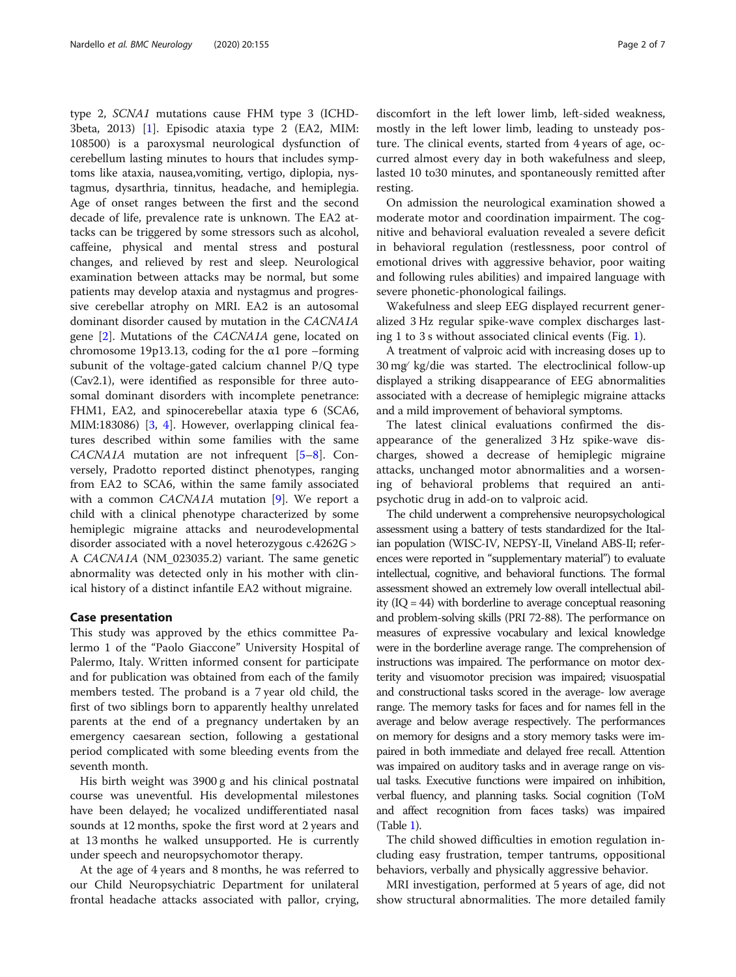type 2, SCNA1 mutations cause FHM type 3 (ICHD-3beta, 2013) [[1](#page-6-0)]. Episodic ataxia type 2 (EA2, MIM: 108500) is a paroxysmal neurological dysfunction of cerebellum lasting minutes to hours that includes symptoms like ataxia, nausea,vomiting, vertigo, diplopia, nystagmus, dysarthria, tinnitus, headache, and hemiplegia. Age of onset ranges between the first and the second decade of life, prevalence rate is unknown. The EA2 attacks can be triggered by some stressors such as alcohol, caffeine, physical and mental stress and postural changes, and relieved by rest and sleep. Neurological examination between attacks may be normal, but some patients may develop ataxia and nystagmus and progressive cerebellar atrophy on MRI. EA2 is an autosomal dominant disorder caused by mutation in the CACNA1A gene [[2\]](#page-6-0). Mutations of the CACNA1A gene, located on chromosome 19p13.13, coding for the  $\alpha$ 1 pore –forming subunit of the voltage-gated calcium channel P/Q type (Cav2.1), were identified as responsible for three autosomal dominant disorders with incomplete penetrance: FHM1, EA2, and spinocerebellar ataxia type 6 (SCA6, MIM:183086) [[3](#page-6-0), [4\]](#page-6-0). However, overlapping clinical features described within some families with the same CACNA1A mutation are not infrequent [\[5](#page-6-0)–[8](#page-6-0)]. Conversely, Pradotto reported distinct phenotypes, ranging from EA2 to SCA6, within the same family associated with a common *CACNA1A* mutation [[9\]](#page-6-0). We report a child with a clinical phenotype characterized by some hemiplegic migraine attacks and neurodevelopmental disorder associated with a novel heterozygous c.4262G > A CACNA1A (NM\_023035.2) variant. The same genetic abnormality was detected only in his mother with clinical history of a distinct infantile EA2 without migraine.

#### Case presentation

This study was approved by the ethics committee Palermo 1 of the "Paolo Giaccone" University Hospital of Palermo, Italy. Written informed consent for participate and for publication was obtained from each of the family members tested. The proband is a 7 year old child, the first of two siblings born to apparently healthy unrelated parents at the end of a pregnancy undertaken by an emergency caesarean section, following a gestational period complicated with some bleeding events from the seventh month.

His birth weight was 3900 g and his clinical postnatal course was uneventful. His developmental milestones have been delayed; he vocalized undifferentiated nasal sounds at 12 months, spoke the first word at 2 years and at 13 months he walked unsupported. He is currently under speech and neuropsychomotor therapy.

At the age of 4 years and 8 months, he was referred to our Child Neuropsychiatric Department for unilateral frontal headache attacks associated with pallor, crying,

discomfort in the left lower limb, left-sided weakness, mostly in the left lower limb, leading to unsteady posture. The clinical events, started from 4 years of age, occurred almost every day in both wakefulness and sleep, lasted 10 to30 minutes, and spontaneously remitted after resting.

On admission the neurological examination showed a moderate motor and coordination impairment. The cognitive and behavioral evaluation revealed a severe deficit in behavioral regulation (restlessness, poor control of emotional drives with aggressive behavior, poor waiting and following rules abilities) and impaired language with severe phonetic-phonological failings.

Wakefulness and sleep EEG displayed recurrent generalized 3 Hz regular spike-wave complex discharges lasting 1 to 3 s without associated clinical events (Fig. [1](#page-2-0)).

A treatment of valproic acid with increasing doses up to 30 mg∕ kg/die was started. The electroclinical follow-up displayed a striking disappearance of EEG abnormalities associated with a decrease of hemiplegic migraine attacks and a mild improvement of behavioral symptoms.

The latest clinical evaluations confirmed the disappearance of the generalized 3 Hz spike-wave discharges, showed a decrease of hemiplegic migraine attacks, unchanged motor abnormalities and a worsening of behavioral problems that required an antipsychotic drug in add-on to valproic acid.

The child underwent a comprehensive neuropsychological assessment using a battery of tests standardized for the Italian population (WISC-IV, NEPSY-II, Vineland ABS-II; references were reported in "supplementary material") to evaluate intellectual, cognitive, and behavioral functions. The formal assessment showed an extremely low overall intellectual ability (IQ = 44) with borderline to average conceptual reasoning and problem-solving skills (PRI 72-88). The performance on measures of expressive vocabulary and lexical knowledge were in the borderline average range. The comprehension of instructions was impaired. The performance on motor dexterity and visuomotor precision was impaired; visuospatial and constructional tasks scored in the average- low average range. The memory tasks for faces and for names fell in the average and below average respectively. The performances on memory for designs and a story memory tasks were impaired in both immediate and delayed free recall. Attention was impaired on auditory tasks and in average range on visual tasks. Executive functions were impaired on inhibition, verbal fluency, and planning tasks. Social cognition (ToM and affect recognition from faces tasks) was impaired (Table [1](#page-3-0)).

The child showed difficulties in emotion regulation including easy frustration, temper tantrums, oppositional behaviors, verbally and physically aggressive behavior.

MRI investigation, performed at 5 years of age, did not show structural abnormalities. The more detailed family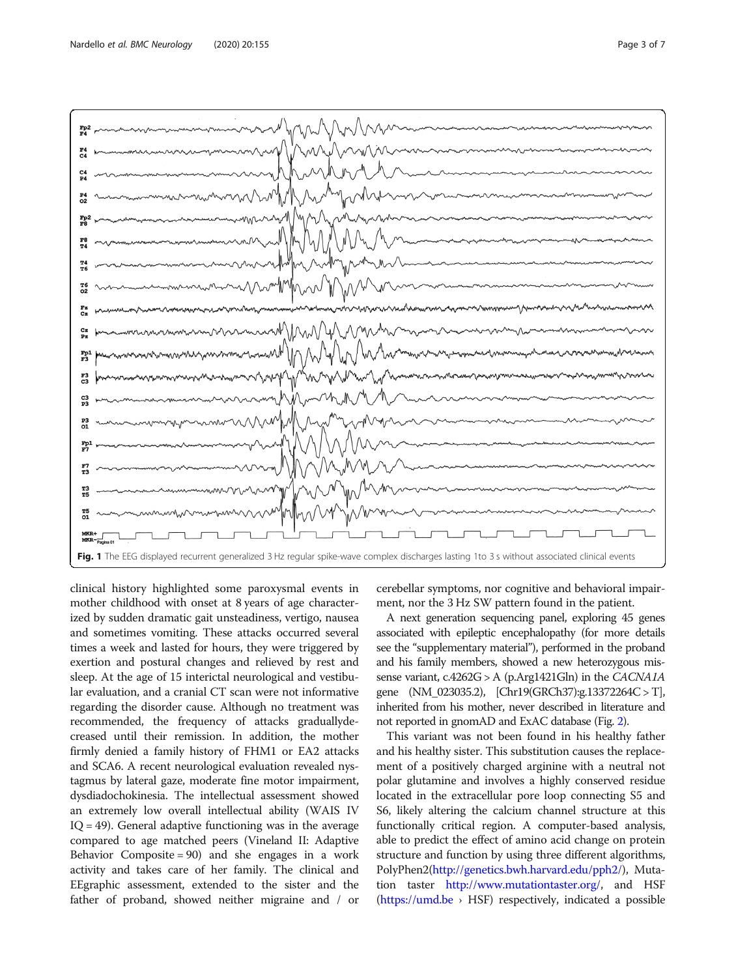

<span id="page-2-0"></span>

clinical history highlighted some paroxysmal events in mother childhood with onset at 8 years of age characterized by sudden dramatic gait unsteadiness, vertigo, nausea and sometimes vomiting. These attacks occurred several times a week and lasted for hours, they were triggered by exertion and postural changes and relieved by rest and sleep. At the age of 15 interictal neurological and vestibular evaluation, and a cranial CT scan were not informative regarding the disorder cause. Although no treatment was recommended, the frequency of attacks graduallydecreased until their remission. In addition, the mother firmly denied a family history of FHM1 or EA2 attacks and SCA6. A recent neurological evaluation revealed nystagmus by lateral gaze, moderate fine motor impairment, dysdiadochokinesia. The intellectual assessment showed an extremely low overall intellectual ability (WAIS IV  $IQ = 49$ ). General adaptive functioning was in the average compared to age matched peers (Vineland II: Adaptive Behavior Composite = 90) and she engages in a work activity and takes care of her family. The clinical and EEgraphic assessment, extended to the sister and the father of proband, showed neither migraine and / or cerebellar symptoms, nor cognitive and behavioral impairment, nor the 3 Hz SW pattern found in the patient.

A next generation sequencing panel, exploring 45 genes associated with epileptic encephalopathy (for more details see the "supplementary material"), performed in the proband and his family members, showed a new heterozygous missense variant,  $c.4262G > A$  (p.Arg1421Gln) in the CACNA1A gene (NM\_023035.2), [Chr19(GRCh37):g.13372264C > T], inherited from his mother, never described in literature and not reported in gnomAD and ExAC database (Fig. [2](#page-4-0)).

This variant was not been found in his healthy father and his healthy sister. This substitution causes the replacement of a positively charged arginine with a neutral not polar glutamine and involves a highly conserved residue located in the extracellular pore loop connecting S5 and S6, likely altering the calcium channel structure at this functionally critical region. A computer-based analysis, able to predict the effect of amino acid change on protein structure and function by using three different algorithms, PolyPhen2[\(http://genetics.bwh.harvard.edu/pph2/](http://genetics.bwh.harvard.edu/pph2/)), Mutation taster <http://www.mutationtaster.org/>, and HSF  $(https://umd.be \rightarrow HSF)$  $(https://umd.be \rightarrow HSF)$  $(https://umd.be \rightarrow HSF)$  respectively, indicated a possible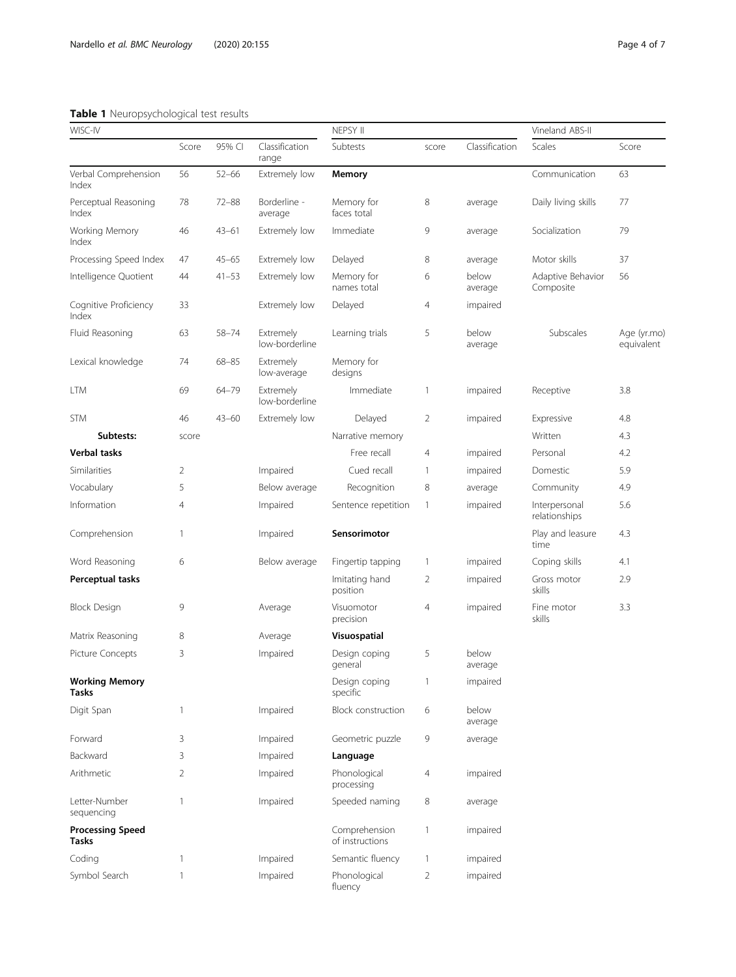#### <span id="page-3-0"></span>Table 1 Neuropsychological test results

| WISC-IV                               |                |           | NEPSY II                    |                                  |                | Vineland ABS-II  |                                |                           |
|---------------------------------------|----------------|-----------|-----------------------------|----------------------------------|----------------|------------------|--------------------------------|---------------------------|
|                                       | Score          | 95% CI    | Classification<br>range     | Subtests                         | score          | Classification   | Scales                         | Score                     |
| Verbal Comprehension<br>Index         | 56             | $52 - 66$ | Extremely low               | Memory                           |                |                  | Communication                  | 63                        |
| Perceptual Reasoning<br>Index         | 78             | $72 - 88$ | Borderline -<br>average     | Memory for<br>faces total        | 8              | average          | Daily living skills            | 77                        |
| Working Memory<br>Index               | 46             | $43 - 61$ | Extremely low               | Immediate                        | 9              | average          | Socialization                  | 79                        |
| Processing Speed Index                | 47             | $45 - 65$ | Extremely low               | Delayed                          | 8              | average          | Motor skills                   | 37                        |
| Intelligence Quotient                 | 44             | $41 - 53$ | Extremely low               | Memory for<br>names total        | 6              | below<br>average | Adaptive Behavior<br>Composite | 56                        |
| Cognitive Proficiency<br>Index        | 33             |           | Extremely low               | Delayed                          | 4              | impaired         |                                |                           |
| Fluid Reasoning                       | 63             | $58 - 74$ | Extremely<br>low-borderline | Learning trials                  | 5              | below<br>average | Subscales                      | Age (yr.mo)<br>equivalent |
| Lexical knowledge                     | 74             | $68 - 85$ | Extremely<br>low-average    | Memory for<br>designs            |                |                  |                                |                           |
| <b>LTM</b>                            | 69             | 64-79     | Extremely<br>low-borderline | Immediate                        | 1              | impaired         | Receptive                      | 3.8                       |
| <b>STM</b>                            | 46             | $43 - 60$ | Extremely low               | Delayed                          | $\overline{2}$ | impaired         | Expressive                     | 4.8                       |
| Subtests:                             | score          |           |                             | Narrative memory                 |                |                  | Written                        | 4.3                       |
| Verbal tasks                          |                |           |                             | Free recall                      | 4              | impaired         | Personal                       | 4.2                       |
| Similarities                          | 2              |           | Impaired                    | Cued recall                      | 1              | impaired         | Domestic                       | 5.9                       |
| Vocabulary                            | 5              |           | Below average               | Recognition                      | 8              | average          | Community                      | 4.9                       |
| Information                           | 4              |           | Impaired                    | Sentence repetition              | $\mathbf{1}$   | impaired         | Interpersonal<br>relationships | 5.6                       |
| Comprehension                         | 1              |           | Impaired                    | Sensorimotor                     |                |                  | Play and leasure<br>time       | 4.3                       |
| Word Reasoning                        | 6              |           | Below average               | Fingertip tapping                | $\mathbf{1}$   | impaired         | Coping skills                  | 4.1                       |
| Perceptual tasks                      |                |           |                             | Imitating hand<br>position       | 2              | impaired         | Gross motor<br>skills          | 2.9                       |
| <b>Block Design</b>                   | 9              |           | Average                     | Visuomotor<br>precision          | 4              | impaired         | Fine motor<br>skills           | 3.3                       |
| Matrix Reasoning                      | 8              |           | Average                     | Visuospatial                     |                |                  |                                |                           |
| <b>Picture Concepts</b>               | 3              |           | Impaired                    | Design coping<br>general         | 5              | below<br>average |                                |                           |
| <b>Working Memory</b><br><b>Tasks</b> |                |           |                             | Design coping<br>specific        | 1              | impaired         |                                |                           |
| Digit Span                            | 1              |           | Impaired                    | Block construction               | 6              | below<br>average |                                |                           |
| Forward                               | 3              |           | Impaired                    | Geometric puzzle                 | 9              | average          |                                |                           |
| Backward                              | 3              |           | Impaired                    | Language                         |                |                  |                                |                           |
| Arithmetic                            | $\overline{2}$ |           | Impaired                    | Phonological<br>processing       | 4              | impaired         |                                |                           |
| Letter-Number<br>sequencing           | 1              |           | Impaired                    | Speeded naming                   | 8              | average          |                                |                           |
| <b>Processing Speed</b><br>Tasks      |                |           |                             | Comprehension<br>of instructions | 1              | impaired         |                                |                           |
| Coding                                | 1              |           | Impaired                    | Semantic fluency                 | 1              | impaired         |                                |                           |
| Symbol Search                         | 1              |           | Impaired                    | Phonological<br>fluency          | $\overline{2}$ | impaired         |                                |                           |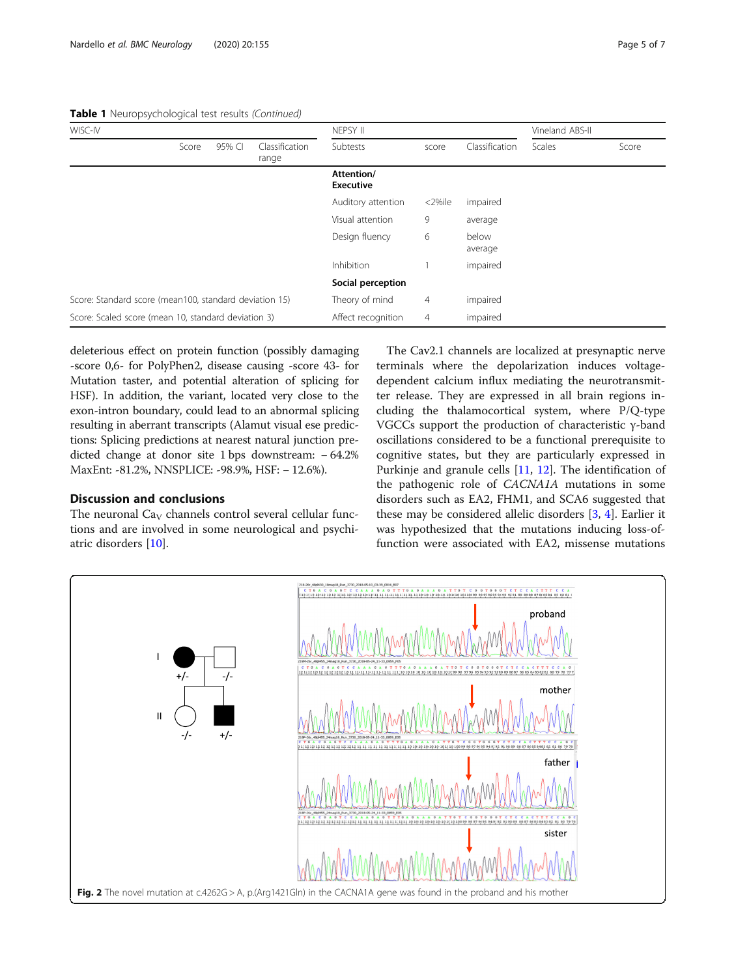<span id="page-4-0"></span>Table 1 Neuropsychological test results (Continued)

| WISC-IV                                                |       |        |                         | NEPSY II                       |          |                  | Vineland ABS-II |       |
|--------------------------------------------------------|-------|--------|-------------------------|--------------------------------|----------|------------------|-----------------|-------|
|                                                        | Score | 95% CI | Classification<br>range | Subtests                       | score    | Classification   | <b>Scales</b>   | Score |
|                                                        |       |        |                         | Attention/<br><b>Executive</b> |          |                  |                 |       |
|                                                        |       |        |                         | Auditory attention             | <2%ile   | impaired         |                 |       |
|                                                        |       |        |                         | Visual attention               | 9        | average          |                 |       |
|                                                        |       |        |                         | Design fluency                 | 6        | below<br>average |                 |       |
|                                                        |       |        |                         | Inhibition                     |          | impaired         |                 |       |
|                                                        |       |        |                         | Social perception              |          |                  |                 |       |
| Score: Standard score (mean100, standard deviation 15) |       |        | Theory of mind          | $\overline{4}$                 | impaired |                  |                 |       |
| Score: Scaled score (mean 10, standard deviation 3)    |       |        | Affect recognition      | $\overline{4}$                 | impaired |                  |                 |       |

deleterious effect on protein function (possibly damaging -score 0,6- for PolyPhen2, disease causing -score 43- for Mutation taster, and potential alteration of splicing for HSF). In addition, the variant, located very close to the exon-intron boundary, could lead to an abnormal splicing resulting in aberrant transcripts (Alamut visual ese predictions: Splicing predictions at nearest natural junction predicted change at donor site 1 bps downstream: − 64.2% MaxEnt: -81.2%, NNSPLICE: -98.9%, HSF: − 12.6%).

#### Discussion and conclusions

The neuronal  $Ca<sub>V</sub>$  channels control several cellular functions and are involved in some neurological and psychiatric disorders [\[10](#page-6-0)].

The Cav2.1 channels are localized at presynaptic nerve terminals where the depolarization induces voltagedependent calcium influx mediating the neurotransmitter release. They are expressed in all brain regions including the thalamocortical system, where P/Q-type VGCCs support the production of characteristic γ-band oscillations considered to be a functional prerequisite to cognitive states, but they are particularly expressed in Purkinje and granule cells [\[11](#page-6-0), [12\]](#page-6-0). The identification of the pathogenic role of CACNA1A mutations in some disorders such as EA2, FHM1, and SCA6 suggested that these may be considered allelic disorders [\[3](#page-6-0), [4](#page-6-0)]. Earlier it was hypothesized that the mutations inducing loss-offunction were associated with EA2, missense mutations

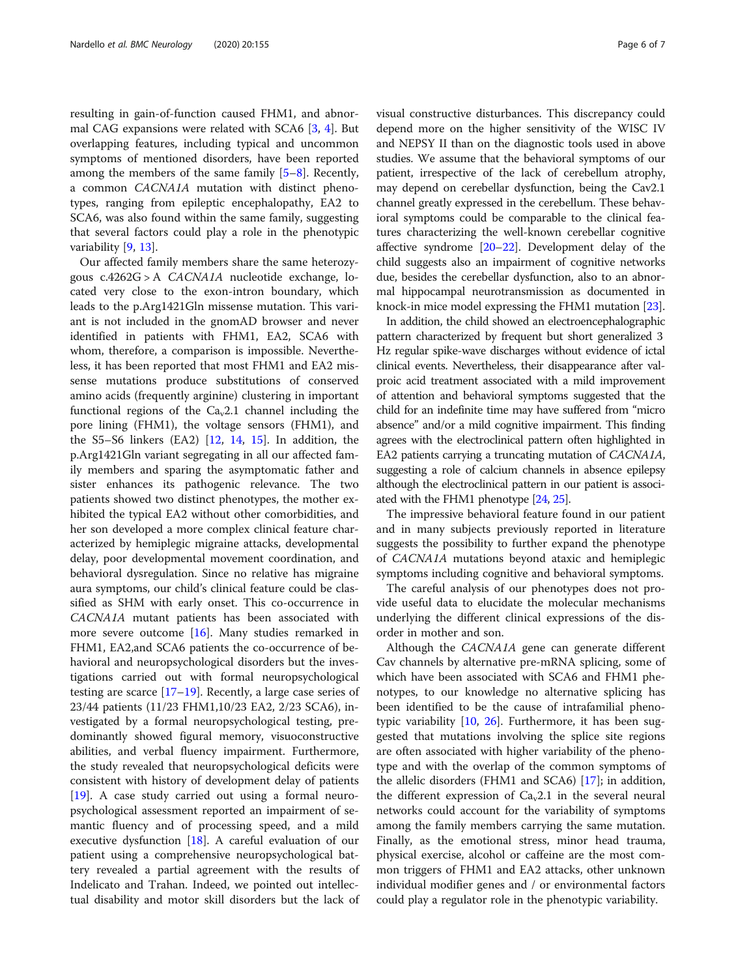resulting in gain-of-function caused FHM1, and abnormal CAG expansions were related with SCA6 [\[3](#page-6-0), [4\]](#page-6-0). But overlapping features, including typical and uncommon symptoms of mentioned disorders, have been reported among the members of the same family [\[5](#page-6-0)–[8\]](#page-6-0). Recently, a common CACNA1A mutation with distinct phenotypes, ranging from epileptic encephalopathy, EA2 to SCA6, was also found within the same family, suggesting that several factors could play a role in the phenotypic variability [[9,](#page-6-0) [13\]](#page-6-0).

Our affected family members share the same heterozygous c.4262G > A CACNA1A nucleotide exchange, located very close to the exon-intron boundary, which leads to the p.Arg1421Gln missense mutation. This variant is not included in the gnomAD browser and never identified in patients with FHM1, EA2, SCA6 with whom, therefore, a comparison is impossible. Nevertheless, it has been reported that most FHM1 and EA2 missense mutations produce substitutions of conserved amino acids (frequently arginine) clustering in important functional regions of the  $Ca<sub>v</sub>2.1$  channel including the pore lining (FHM1), the voltage sensors (FHM1), and the S5–S6 linkers (EA2) [\[12](#page-6-0), [14](#page-6-0), [15\]](#page-6-0). In addition, the p.Arg1421Gln variant segregating in all our affected family members and sparing the asymptomatic father and sister enhances its pathogenic relevance. The two patients showed two distinct phenotypes, the mother exhibited the typical EA2 without other comorbidities, and her son developed a more complex clinical feature characterized by hemiplegic migraine attacks, developmental delay, poor developmental movement coordination, and behavioral dysregulation. Since no relative has migraine aura symptoms, our child's clinical feature could be classified as SHM with early onset. This co-occurrence in CACNA1A mutant patients has been associated with more severe outcome [\[16\]](#page-6-0). Many studies remarked in FHM1, EA2,and SCA6 patients the co-occurrence of behavioral and neuropsychological disorders but the investigations carried out with formal neuropsychological testing are scarce  $[17–19]$  $[17–19]$  $[17–19]$ . Recently, a large case series of 23/44 patients (11/23 FHM1,10/23 EA2, 2/23 SCA6), investigated by a formal neuropsychological testing, predominantly showed figural memory, visuoconstructive abilities, and verbal fluency impairment. Furthermore, the study revealed that neuropsychological deficits were consistent with history of development delay of patients [[19\]](#page-6-0). A case study carried out using a formal neuropsychological assessment reported an impairment of semantic fluency and of processing speed, and a mild executive dysfunction [\[18](#page-6-0)]. A careful evaluation of our patient using a comprehensive neuropsychological battery revealed a partial agreement with the results of Indelicato and Trahan. Indeed, we pointed out intellectual disability and motor skill disorders but the lack of visual constructive disturbances. This discrepancy could depend more on the higher sensitivity of the WISC IV and NEPSY II than on the diagnostic tools used in above studies. We assume that the behavioral symptoms of our patient, irrespective of the lack of cerebellum atrophy, may depend on cerebellar dysfunction, being the Cav2.1 channel greatly expressed in the cerebellum. These behavioral symptoms could be comparable to the clinical features characterizing the well-known cerebellar cognitive affective syndrome [\[20](#page-6-0)–[22](#page-6-0)]. Development delay of the child suggests also an impairment of cognitive networks due, besides the cerebellar dysfunction, also to an abnormal hippocampal neurotransmission as documented in knock-in mice model expressing the FHM1 mutation [[23](#page-6-0)].

In addition, the child showed an electroencephalographic pattern characterized by frequent but short generalized 3 Hz regular spike-wave discharges without evidence of ictal clinical events. Nevertheless, their disappearance after valproic acid treatment associated with a mild improvement of attention and behavioral symptoms suggested that the child for an indefinite time may have suffered from "micro absence" and/or a mild cognitive impairment. This finding agrees with the electroclinical pattern often highlighted in EA2 patients carrying a truncating mutation of CACNA1A, suggesting a role of calcium channels in absence epilepsy although the electroclinical pattern in our patient is associated with the FHM1 phenotype [[24](#page-6-0), [25](#page-6-0)].

The impressive behavioral feature found in our patient and in many subjects previously reported in literature suggests the possibility to further expand the phenotype of CACNA1A mutations beyond ataxic and hemiplegic symptoms including cognitive and behavioral symptoms.

The careful analysis of our phenotypes does not provide useful data to elucidate the molecular mechanisms underlying the different clinical expressions of the disorder in mother and son.

Although the CACNA1A gene can generate different Cav channels by alternative pre-mRNA splicing, some of which have been associated with SCA6 and FHM1 phenotypes, to our knowledge no alternative splicing has been identified to be the cause of intrafamilial phenotypic variability [[10,](#page-6-0) [26](#page-6-0)]. Furthermore, it has been suggested that mutations involving the splice site regions are often associated with higher variability of the phenotype and with the overlap of the common symptoms of the allelic disorders (FHM1 and SCA6) [\[17\]](#page-6-0); in addition, the different expression of  $Ca<sub>v</sub>2.1$  in the several neural networks could account for the variability of symptoms among the family members carrying the same mutation. Finally, as the emotional stress, minor head trauma, physical exercise, alcohol or caffeine are the most common triggers of FHM1 and EA2 attacks, other unknown individual modifier genes and / or environmental factors could play a regulator role in the phenotypic variability.